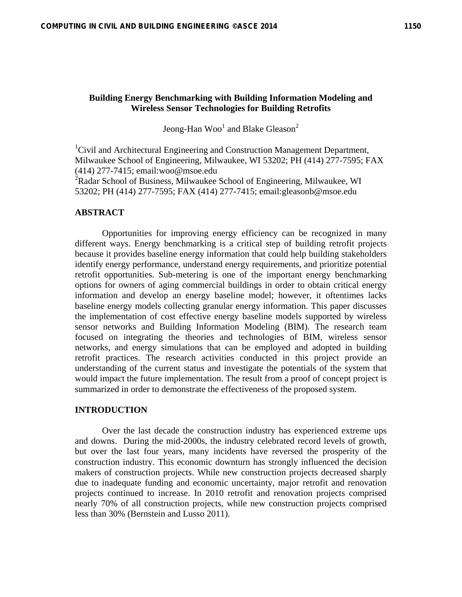# **Building Energy Benchmarking with Building Information Modeling and Wireless Sensor Technologies for Building Retrofits**

Jeong-Han  $\mathop{\mathrm{Woo}}\nolimits^1$  and Blake Gleason $^2$ 

<sup>1</sup>Civil and Architectural Engineering and Construction Management Department, Milwaukee School of Engineering, Milwaukee, WI 53202; PH (414) 277-7595; FAX (414) 277-7415; email:woo@msoe.edu

 $2R$ adar School of Business, Milwaukee School of Engineering, Milwaukee, WI 53202; PH (414) 277-7595; FAX (414) 277-7415; email:gleasonb@msoe.edu

## **ABSTRACT**

Opportunities for improving energy efficiency can be recognized in many different ways. Energy benchmarking is a critical step of building retrofit projects because it provides baseline energy information that could help building stakeholders identify energy performance, understand energy requirements, and prioritize potential retrofit opportunities. Sub-metering is one of the important energy benchmarking options for owners of aging commercial buildings in order to obtain critical energy information and develop an energy baseline model; however, it oftentimes lacks baseline energy models collecting granular energy information. This paper discusses the implementation of cost effective energy baseline models supported by wireless sensor networks and Building Information Modeling (BIM). The research team focused on integrating the theories and technologies of BIM, wireless sensor networks, and energy simulations that can be employed and adopted in building retrofit practices. The research activities conducted in this project provide an understanding of the current status and investigate the potentials of the system that would impact the future implementation. The result from a proof of concept project is summarized in order to demonstrate the effectiveness of the proposed system.

### **INTRODUCTION**

Over the last decade the construction industry has experienced extreme ups and downs. During the mid-2000s, the industry celebrated record levels of growth, but over the last four years, many incidents have reversed the prosperity of the construction industry. This economic downturn has strongly influenced the decision makers of construction projects. While new construction projects decreased sharply due to inadequate funding and economic uncertainty, major retrofit and renovation projects continued to increase. In 2010 retrofit and renovation projects comprised nearly 70% of all construction projects, while new construction projects comprised less than 30% (Bernstein and Lusso 2011).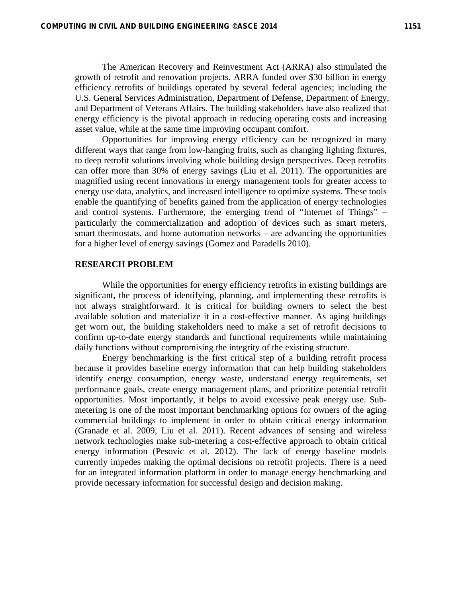The American Recovery and Reinvestment Act (ARRA) also stimulated the growth of retrofit and renovation projects. ARRA funded over \$30 billion in energy efficiency retrofits of buildings operated by several federal agencies; including the U.S. General Services Administration, Department of Defense, Department of Energy, and Department of Veterans Affairs. The building stakeholders have also realized that energy efficiency is the pivotal approach in reducing operating costs and increasing asset value, while at the same time improving occupant comfort.

Opportunities for improving energy efficiency can be recognized in many different ways that range from low-hanging fruits, such as changing lighting fixtures, to deep retrofit solutions involving whole building design perspectives. Deep retrofits can offer more than 30% of energy savings (Liu et al. 2011). The opportunities are magnified using recent innovations in energy management tools for greater access to energy use data, analytics, and increased intelligence to optimize systems. These tools enable the quantifying of benefits gained from the application of energy technologies and control systems. Furthermore, the emerging trend of "Internet of Things" – particularly the commercialization and adoption of devices such as smart meters, smart thermostats, and home automation networks – are advancing the opportunities for a higher level of energy savings (Gomez and Paradells 2010).

#### **RESEARCH PROBLEM**

While the opportunities for energy efficiency retrofits in existing buildings are significant, the process of identifying, planning, and implementing these retrofits is not always straightforward. It is critical for building owners to select the best available solution and materialize it in a cost-effective manner. As aging buildings get worn out, the building stakeholders need to make a set of retrofit decisions to confirm up-to-date energy standards and functional requirements while maintaining daily functions without compromising the integrity of the existing structure.

Energy benchmarking is the first critical step of a building retrofit process because it provides baseline energy information that can help building stakeholders identify energy consumption, energy waste, understand energy requirements, set performance goals, create energy management plans, and prioritize potential retrofit opportunities. Most importantly, it helps to avoid excessive peak energy use. Submetering is one of the most important benchmarking options for owners of the aging commercial buildings to implement in order to obtain critical energy information (Granade et al. 2009, Liu et al. 2011). Recent advances of sensing and wireless network technologies make sub-metering a cost-effective approach to obtain critical energy information (Pesovic et al. 2012). The lack of energy baseline models currently impedes making the optimal decisions on retrofit projects. There is a need for an integrated information platform in order to manage energy benchmarking and provide necessary information for successful design and decision making.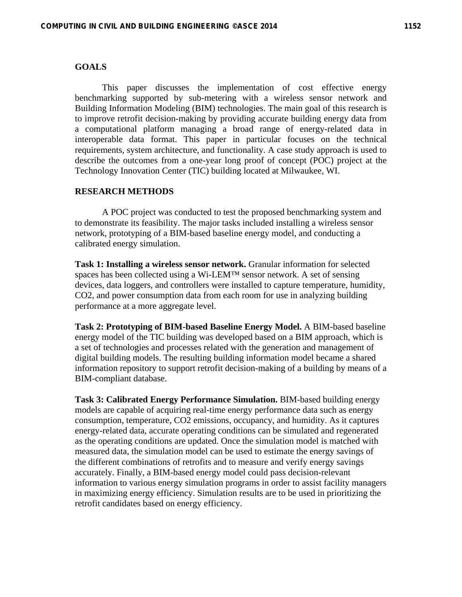# **GOALS**

This paper discusses the implementation of cost effective energy benchmarking supported by sub-metering with a wireless sensor network and Building Information Modeling (BIM) technologies. The main goal of this research is to improve retrofit decision-making by providing accurate building energy data from a computational platform managing a broad range of energy-related data in interoperable data format. This paper in particular focuses on the technical requirements, system architecture, and functionality. A case study approach is used to describe the outcomes from a one-year long proof of concept (POC) project at the Technology Innovation Center (TIC) building located at Milwaukee, WI.

### **RESEARCH METHODS**

A POC project was conducted to test the proposed benchmarking system and to demonstrate its feasibility. The major tasks included installing a wireless sensor network, prototyping of a BIM-based baseline energy model, and conducting a calibrated energy simulation.

**Task 1: Installing a wireless sensor network.** Granular information for selected spaces has been collected using a Wi-LEM<sup>TM</sup> sensor network. A set of sensing devices, data loggers, and controllers were installed to capture temperature, humidity, CO2, and power consumption data from each room for use in analyzing building performance at a more aggregate level.

**Task 2: Prototyping of BIM-based Baseline Energy Model.** A BIM-based baseline energy model of the TIC building was developed based on a BIM approach, which is a set of technologies and processes related with the generation and management of digital building models. The resulting building information model became a shared information repository to support retrofit decision-making of a building by means of a BIM-compliant database.

**Task 3: Calibrated Energy Performance Simulation.** BIM-based building energy models are capable of acquiring real-time energy performance data such as energy consumption, temperature, CO2 emissions, occupancy, and humidity. As it captures energy-related data, accurate operating conditions can be simulated and regenerated as the operating conditions are updated. Once the simulation model is matched with measured data, the simulation model can be used to estimate the energy savings of the different combinations of retrofits and to measure and verify energy savings accurately. Finally, a BIM-based energy model could pass decision-relevant information to various energy simulation programs in order to assist facility managers in maximizing energy efficiency. Simulation results are to be used in prioritizing the retrofit candidates based on energy efficiency.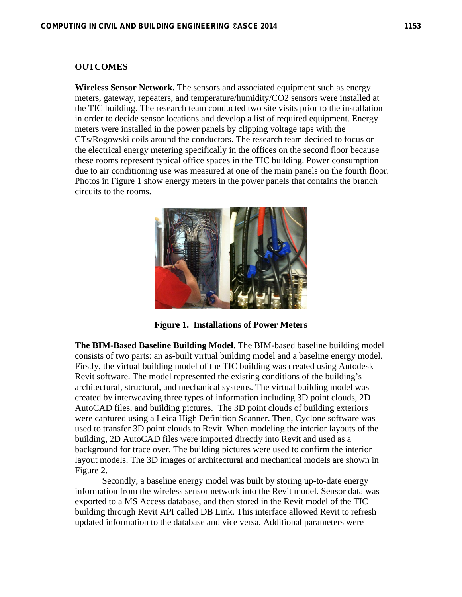# **OUTCOMES**

**Wireless Sensor Network.** The sensors and associated equipment such as energy meters, gateway, repeaters, and temperature/humidity/CO2 sensors were installed at the TIC building. The research team conducted two site visits prior to the installation in order to decide sensor locations and develop a list of required equipment. Energy meters were installed in the power panels by clipping voltage taps with the CTs/Rogowski coils around the conductors. The research team decided to focus on the electrical energy metering specifically in the offices on the second floor because these rooms represent typical office spaces in the TIC building. Power consumption due to air conditioning use was measured at one of the main panels on the fourth floor. Photos in Figure 1 show energy meters in the power panels that contains the branch circuits to the rooms.



**Figure 1. Installations of Power Meters** 

**The BIM-Based Baseline Building Model.** The BIM-based baseline building model consists of two parts: an as-built virtual building model and a baseline energy model. Firstly, the virtual building model of the TIC building was created using Autodesk Revit software. The model represented the existing conditions of the building's architectural, structural, and mechanical systems. The virtual building model was created by interweaving three types of information including 3D point clouds, 2D AutoCAD files, and building pictures. The 3D point clouds of building exteriors were captured using a Leica High Definition Scanner. Then, Cyclone software was used to transfer 3D point clouds to Revit. When modeling the interior layouts of the building, 2D AutoCAD files were imported directly into Revit and used as a background for trace over. The building pictures were used to confirm the interior layout models. The 3D images of architectural and mechanical models are shown in Figure 2.

Secondly, a baseline energy model was built by storing up-to-date energy information from the wireless sensor network into the Revit model. Sensor data was exported to a MS Access database, and then stored in the Revit model of the TIC building through Revit API called DB Link. This interface allowed Revit to refresh updated information to the database and vice versa. Additional parameters were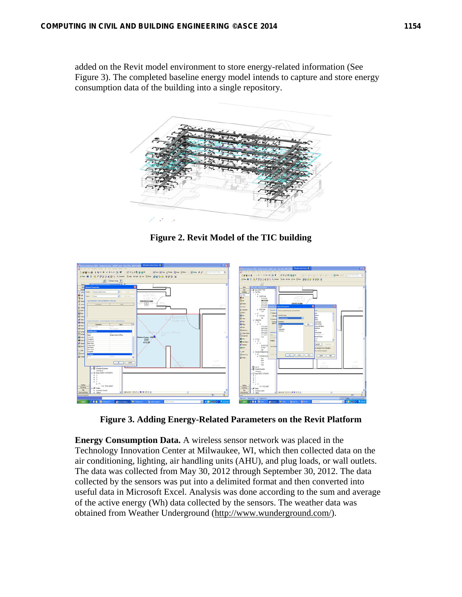added on the Revit model environment to store energy-related information (See Figure 3). The completed baseline energy model intends to capture and store energy consumption data of the building into a single repository.



**Figure 2. Revit Model of the TIC building** 



**Figure 3. Adding Energy-Related Parameters on the Revit Platform** 

**Energy Consumption Data.** A wireless sensor network was placed in the Technology Innovation Center at Milwaukee, WI, which then collected data on the air conditioning, lighting, air handling units (AHU), and plug loads, or wall outlets. The data was collected from May 30, 2012 through September 30, 2012. The data collected by the sensors was put into a delimited format and then converted into useful data in Microsoft Excel. Analysis was done according to the sum and average of the active energy (Wh) data collected by the sensors. The weather data was obtained from Weather Underground (http://www.wunderground.com/).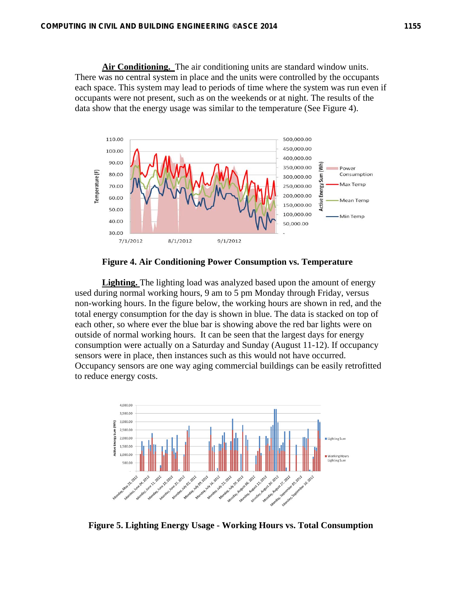**Air Conditioning.** The air conditioning units are standard window units. There was no central system in place and the units were controlled by the occupants each space. This system may lead to periods of time where the system was run even if occupants were not present, such as on the weekends or at night. The results of the data show that the energy usage was similar to the temperature (See Figure 4).



**Figure 4. Air Conditioning Power Consumption vs. Temperature** 

Lighting. The lighting load was analyzed based upon the amount of energy used during normal working hours, 9 am to 5 pm Monday through Friday, versus non-working hours. In the figure below, the working hours are shown in red, and the total energy consumption for the day is shown in blue. The data is stacked on top of each other, so where ever the blue bar is showing above the red bar lights were on outside of normal working hours. It can be seen that the largest days for energy consumption were actually on a Saturday and Sunday (August 11-12). If occupancy sensors were in place, then instances such as this would not have occurred. Occupancy sensors are one way aging commercial buildings can be easily retrofitted to reduce energy costs.



**Figure 5. Lighting Energy Usage - Working Hours vs. Total Consumption**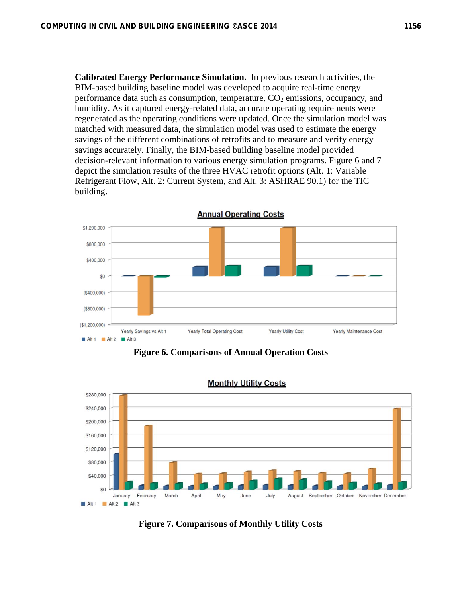**Calibrated Energy Performance Simulation.** In previous research activities, the BIM-based building baseline model was developed to acquire real-time energy performance data such as consumption, temperature,  $CO<sub>2</sub>$  emissions, occupancy, and humidity. As it captured energy-related data, accurate operating requirements were regenerated as the operating conditions were updated. Once the simulation model was matched with measured data, the simulation model was used to estimate the energy savings of the different combinations of retrofits and to measure and verify energy savings accurately. Finally, the BIM-based building baseline model provided decision-relevant information to various energy simulation programs. Figure 6 and 7 depict the simulation results of the three HVAC retrofit options (Alt. 1: Variable Refrigerant Flow, Alt. 2: Current System, and Alt. 3: ASHRAE 90.1) for the TIC building.



**Figure 6. Comparisons of Annual Operation Costs** 



**Monthly Utility Costs** 

**Figure 7. Comparisons of Monthly Utility Costs**